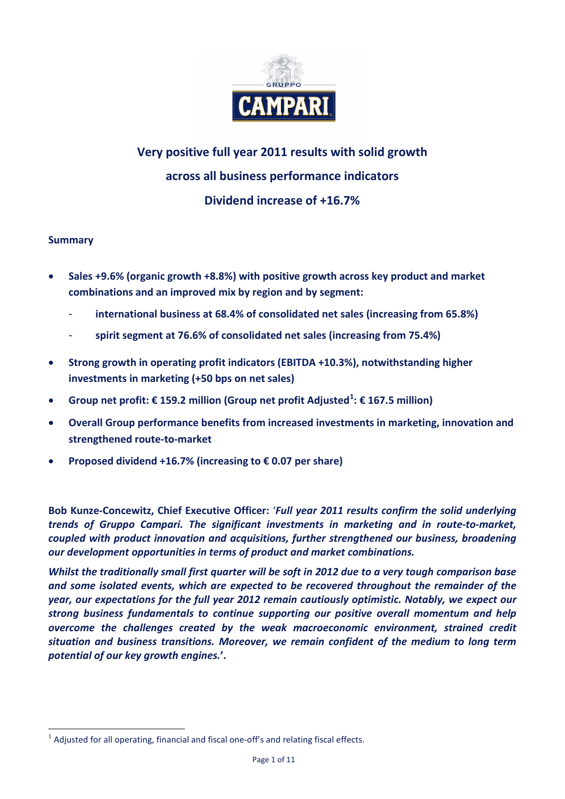

# **Very positive full year 2011 results with solid growth across all business performance indicators Dividend increase of +16.7%**

# **Summary**

- **Sales +9.6% (organic growth +8.8%) with positive growth across key product and market combinations and an improved mix by region and by segment:**
	- **international business at 68.4% of consolidated net sales (increasing from 65.8%)**
	- **spirit segment at 76.6% of consolidated net sales (increasing from 75.4%)**
- **Strong growth in operating profit indicators (EBITDA +10.3%), notwithstanding higher investments in marketing (+50 bps on net sales)**
- **Group net profit: € 159.2 million (Group net profit Adjusted[1](#page-0-0) : € 167.5 million)**
- **Overall Group performance benefits from increased investments in marketing, innovation and strengthened route-to-market**
- **Proposed dividend +16.7% (increasing to € 0.07 per share)**

**Bob Kunze-Concewitz, Chief Executive Officer:** '*Full year 2011 results confirm the solid underlying trends of Gruppo Campari. The significant investments in marketing and in route-to-market, coupled with product innovation and acquisitions, further strengthened our business, broadening our development opportunities in terms of product and market combinations.*

*Whilst the traditionally small first quarter will be soft in 2012 due to a very tough comparison base and some isolated events, which are expected to be recovered throughout the remainder of the year, our expectations for the full year 2012 remain cautiously optimistic. Notably, we expect our strong business fundamentals to continue supporting our positive overall momentum and help overcome the challenges created by the weak macroeconomic environment, strained credit situation and business transitions. Moreover, we remain confident of the medium to long term potential of our key growth engines.***'.**

<span id="page-0-0"></span> $<sup>1</sup>$  Adjusted for all operating, financial and fiscal one-off's and relating fiscal effects.</sup>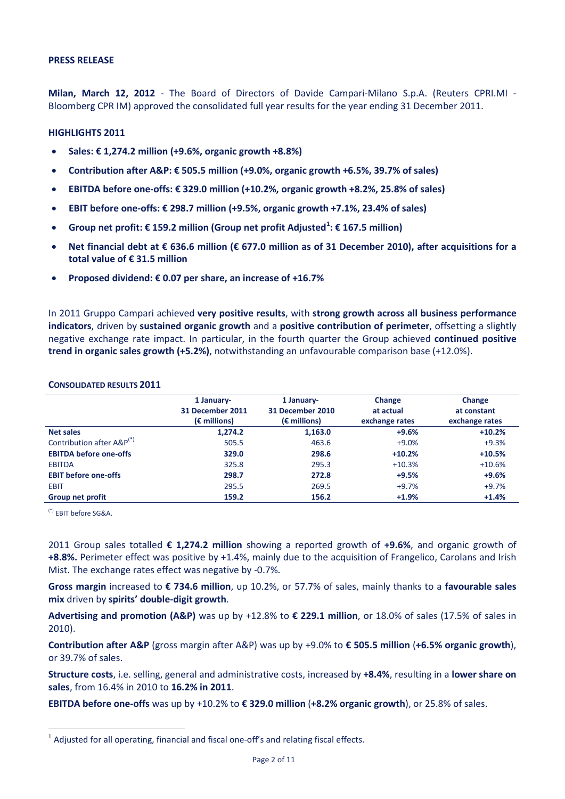**Milan, March 12, 2012** - The Board of Directors of Davide Campari-Milano S.p.A. (Reuters CPRI.MI - Bloomberg CPR IM) approved the consolidated full year results for the year ending 31 December 2011.

#### **HIGHLIGHTS 2011**

- **Sales: € 1,274.2 million (+9.6%, organic growth +8.8%)**
- **Contribution after A&P: € 505.5 million (+9.0%, organic growth +6.5%, 39.7% of sales)**
- **EBITDA before one-offs: € 329.0 million (+10.2%, organic growth +8.2%, 25.8% of sales)**
- **EBIT before one-offs: € 298.7 million (+9.5%, organic growth +7.1%, 23.4% of sales)**
- **Group net profit: € 159.2 million (Group net profit Adjusted[1](#page-1-0) : € 167.5 million)**
- **Net financial debt at € 636.6 million (€ 677.0 million as of 31 December 2010), after acquisitions for a total value of € 31.5 million**
- **Proposed dividend: € 0.07 per share, an increase of +16.7%**

In 2011 Gruppo Campari achieved **very positive results**, with **strong growth across all business performance indicators**, driven by **sustained organic growth** and a **positive contribution of perimeter**, offsetting a slightly negative exchange rate impact. In particular, in the fourth quarter the Group achieved **continued positive trend in organic sales growth (+5.2%)**, notwithstanding an unfavourable comparison base (+12.0%).

#### **CONSOLIDATED RESULTS 2011**

|                                       | 1 January-<br>31 December 2011<br>$(\epsilon$ millions) | 1 January-<br>31 December 2010<br>$(\epsilon$ millions) | Change<br>at actual<br>exchange rates | Change<br>at constant<br>exchange rates |
|---------------------------------------|---------------------------------------------------------|---------------------------------------------------------|---------------------------------------|-----------------------------------------|
| <b>Net sales</b>                      | 1,274.2                                                 | 1,163.0                                                 | $+9.6%$                               | $+10.2%$                                |
| Contribution after A&P <sup>(*)</sup> | 505.5                                                   | 463.6                                                   | $+9.0%$                               | $+9.3%$                                 |
| <b>EBITDA before one-offs</b>         | 329.0                                                   | 298.6                                                   | $+10.2%$                              | $+10.5%$                                |
| <b>EBITDA</b>                         | 325.8                                                   | 295.3                                                   | $+10.3%$                              | $+10.6%$                                |
| <b>EBIT before one-offs</b>           | 298.7                                                   | 272.8                                                   | $+9.5%$                               | $+9.6%$                                 |
| <b>EBIT</b>                           | 295.5                                                   | 269.5                                                   | $+9.7%$                               | $+9.7%$                                 |
| <b>Group net profit</b>               | 159.2                                                   | 156.2                                                   | $+1.9%$                               | $+1.4%$                                 |

(\*) EBIT before SG&A.

2011 Group sales totalled **€ 1,274.2 million** showing a reported growth of **+9.6%**, and organic growth of **+8.8%.** Perimeter effect was positive by +1.4%, mainly due to the acquisition of Frangelico, Carolans and Irish Mist. The exchange rates effect was negative by -0.7%.

**Gross margin** increased to **€ 734.6 million**, up 10.2%, or 57.7% of sales, mainly thanks to a **favourable sales mix** driven by **spirits' double-digit growth**.

**Advertising and promotion (A&P)** was up by +12.8% to **€ 229.1 million**, or 18.0% of sales (17.5% of sales in 2010).

**Contribution after A&P** (gross margin after A&P) was up by +9.0% to **€ 505.5 million** (**+6.5% organic growth**), or 39.7% of sales.

**Structure costs**, i.e. selling, general and administrative costs, increased by **+8.4%**, resulting in a **lower share on sales**, from 16.4% in 2010 to **16.2% in 2011**.

**EBITDA before one-offs** was up by +10.2% to **€ 329.0 million** (**+8.2% organic growth**), or 25.8% of sales.

<span id="page-1-0"></span> $<sup>1</sup>$  Adjusted for all operating, financial and fiscal one-off's and relating fiscal effects.</sup>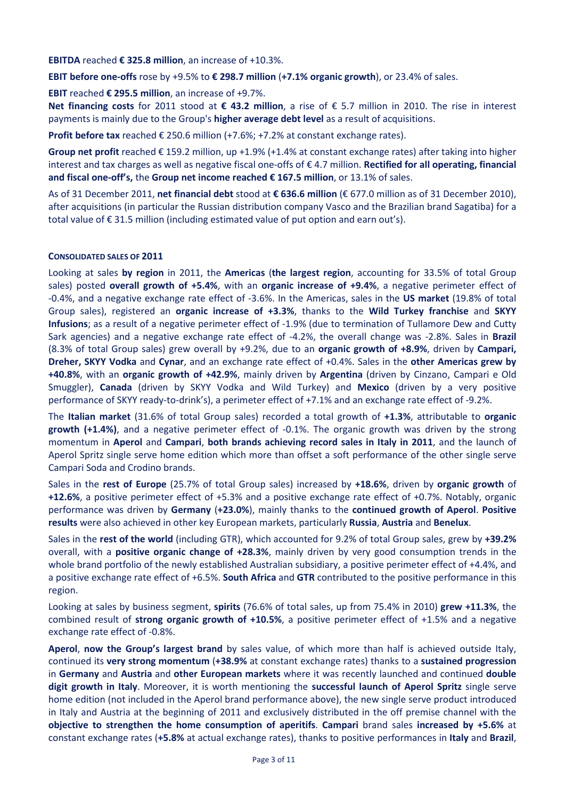**EBITDA** reached **€ 325.8 million**, an increase of +10.3%.

**EBIT before one-offs** rose by +9.5% to **€ 298.7 million** (**+7.1% organic growth**), or 23.4% of sales.

**EBIT** reached **€ 295.5 million**, an increase of +9.7%.

**Net financing costs** for 2011 stood at **€ 43.2 million**, a rise of € 5.7 million in 2010. The rise in interest payments is mainly due to the Group's **higher average debt level** as a result of acquisitions.

**Profit before tax** reached € 250.6 million (+7.6%; +7.2% at constant exchange rates).

**Group net profit** reached € 159.2 million, up +1.9% (+1.4% at constant exchange rates) after taking into higher interest and tax charges as well as negative fiscal one-offs of € 4.7 million. **Rectified for all operating, financial and fiscal one-off's,** the **Group net income reached € 167.5 million**, or 13.1% of sales.

As of 31 December 2011, **net financial debt** stood at **€ 636.6 million** (€ 677.0 million as of 31 December 2010), after acquisitions (in particular the Russian distribution company Vasco and the Brazilian brand Sagatiba) for a total value of € 31.5 million (including estimated value of put option and earn out's).

#### **CONSOLIDATED SALES OF 2011**

Looking at sales **by region** in 2011, the **Americas** (**the largest region**, accounting for 33.5% of total Group sales) posted **overall growth of +5.4%**, with an **organic increase of +9.4%**, a negative perimeter effect of -0.4%, and a negative exchange rate effect of -3.6%. In the Americas, sales in the **US market** (19.8% of total Group sales), registered an **organic increase of +3.3%**, thanks to the **Wild Turkey franchise** and **SKYY Infusions**; as a result of a negative perimeter effect of -1.9% (due to termination of Tullamore Dew and Cutty Sark agencies) and a negative exchange rate effect of -4.2%, the overall change was -2.8%. Sales in **Brazil** (8.3% of total Group sales) grew overall by +9.2%, due to an **organic growth of +8.9%**, driven by **Campari, Dreher, SKYY Vodka** and **Cynar**, and an exchange rate effect of +0.4%. Sales in the **other Americas grew by +40.8%**, with an **organic growth of +42.9%**, mainly driven by **Argentina** (driven by Cinzano, Campari e Old Smuggler), **Canada** (driven by SKYY Vodka and Wild Turkey) and **Mexico** (driven by a very positive performance of SKYY ready-to-drink's), a perimeter effect of +7.1% and an exchange rate effect of -9.2%.

The **Italian market** (31.6% of total Group sales) recorded a total growth of **+1.3%**, attributable to **organic growth (+1.4%)**, and a negative perimeter effect of -0.1%. The organic growth was driven by the strong momentum in **Aperol** and **Campari**, **both brands achieving record sales in Italy in 2011**, and the launch of Aperol Spritz single serve home edition which more than offset a soft performance of the other single serve Campari Soda and Crodino brands.

Sales in the **rest of Europe** (25.7% of total Group sales) increased by **+18.6%**, driven by **organic growth** of **+12.6%**, a positive perimeter effect of +5.3% and a positive exchange rate effect of +0.7%. Notably, organic performance was driven by **Germany** (**+23.0%**), mainly thanks to the **continued growth of Aperol**. **Positive results** were also achieved in other key European markets, particularly **Russia**, **Austria** and **Benelux**.

Sales in the **rest of the world** (including GTR), which accounted for 9.2% of total Group sales, grew by **+39.2%**  overall, with a **positive organic change of +28.3%**, mainly driven by very good consumption trends in the whole brand portfolio of the newly established Australian subsidiary, a positive perimeter effect of +4.4%, and a positive exchange rate effect of +6.5%. **South Africa** and **GTR** contributed to the positive performance in this region.

Looking at sales by business segment, **spirits** (76.6% of total sales, up from 75.4% in 2010) **grew +11.3%**, the combined result of **strong organic growth of +10.5%**, a positive perimeter effect of +1.5% and a negative exchange rate effect of -0.8%.

**Aperol**, **now the Group's largest brand** by sales value, of which more than half is achieved outside Italy, continued its **very strong momentum** (**+38.9%** at constant exchange rates) thanks to a **sustained progression** in **Germany** and **Austria** and **other European markets** where it was recently launched and continued **double digit growth in Italy**. Moreover, it is worth mentioning the **successful launch of Aperol Spritz** single serve home edition (not included in the Aperol brand performance above), the new single serve product introduced in Italy and Austria at the beginning of 2011 and exclusively distributed in the off premise channel with the **objective to strengthen the home consumption of aperitifs**. **Campari** brand sales **increased by +5.6%** at constant exchange rates (**+5.8%** at actual exchange rates), thanks to positive performances in **Italy** and **Brazil**,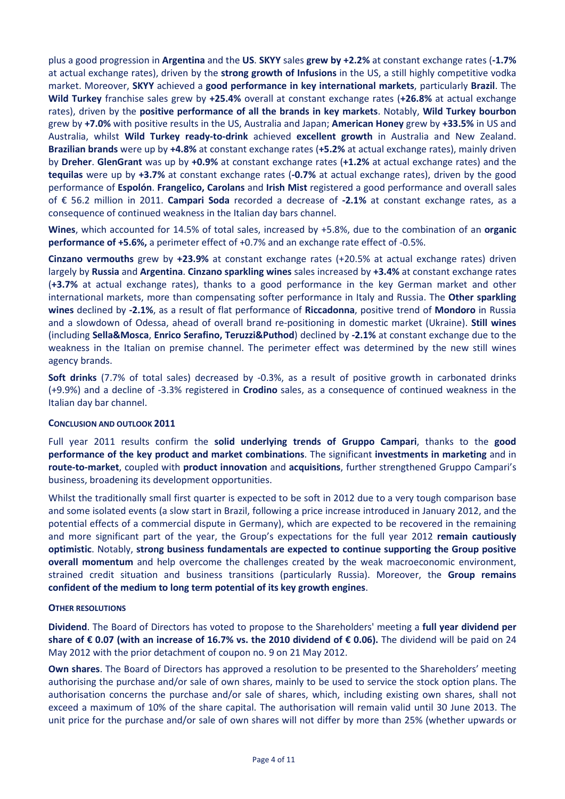plus a good progression in **Argentina** and the **US**. **SKYY** sales **grew by +2.2%** at constant exchange rates (**-1.7%**  at actual exchange rates), driven by the **strong growth of Infusions** in the US, a still highly competitive vodka market. Moreover, **SKYY** achieved a **good performance in key international markets**, particularly **Brazil**. The **Wild Turkey** franchise sales grew by **+25.4%** overall at constant exchange rates (**+26.8%** at actual exchange rates), driven by the **positive performance of all the brands in key markets**. Notably, **Wild Turkey bourbon** grew by **+7.0%** with positive results in the US, Australia and Japan; **American Honey** grew by **+33.5%** in US and Australia, whilst **Wild Turkey ready-to-drink** achieved **excellent growth** in Australia and New Zealand. **Brazilian brands** were up by **+4.8%** at constant exchange rates (**+5.2%** at actual exchange rates), mainly driven by **Dreher**. **GlenGrant** was up by **+0.9%** at constant exchange rates (**+1.2%** at actual exchange rates) and the **tequilas** were up by **+3.7%** at constant exchange rates (**-0.7%** at actual exchange rates), driven by the good performance of **Espolón**. **Frangelico, Carolans** and **Irish Mist** registered a good performance and overall sales of € 56.2 million in 2011. **Campari Soda** recorded a decrease of **-2.1%** at constant exchange rates, as a consequence of continued weakness in the Italian day bars channel.

**Wines**, which accounted for 14.5% of total sales, increased by +5.8%, due to the combination of an **organic performance of +5.6%,** a perimeter effect of +0.7% and an exchange rate effect of -0.5%.

**Cinzano vermouths** grew by **+23.9%** at constant exchange rates (+20.5% at actual exchange rates) driven largely by **Russia** and **Argentina**. **Cinzano sparkling wines** sales increased by **+3.4%** at constant exchange rates (**+3.7%** at actual exchange rates), thanks to a good performance in the key German market and other international markets, more than compensating softer performance in Italy and Russia. The **Other sparkling wines** declined by **-2.1%**, as a result of flat performance of **Riccadonna**, positive trend of **Mondoro** in Russia and a slowdown of Odessa, ahead of overall brand re-positioning in domestic market (Ukraine). **Still wines**  (including **Sella&Mosca**, **Enrico Serafino, Teruzzi&Puthod**) declined by **-2.1%** at constant exchange due to the weakness in the Italian on premise channel. The perimeter effect was determined by the new still wines agency brands.

**Soft drinks** (7.7% of total sales) decreased by -0.3%, as a result of positive growth in carbonated drinks (+9.9%) and a decline of -3.3% registered in **Crodino** sales, as a consequence of continued weakness in the Italian day bar channel.

#### **CONCLUSION AND OUTLOOK 2011**

Full year 2011 results confirm the **solid underlying trends of Gruppo Campari**, thanks to the **good performance of the key product and market combinations**. The significant **investments in marketing** and in **route-to-market**, coupled with **product innovation** and **acquisitions**, further strengthened Gruppo Campari's business, broadening its development opportunities.

Whilst the traditionally small first quarter is expected to be soft in 2012 due to a very tough comparison base and some isolated events (a slow start in Brazil, following a price increase introduced in January 2012, and the potential effects of a commercial dispute in Germany), which are expected to be recovered in the remaining and more significant part of the year, the Group's expectations for the full year 2012 **remain cautiously optimistic**. Notably, **strong business fundamentals are expected to continue supporting the Group positive overall momentum** and help overcome the challenges created by the weak macroeconomic environment, strained credit situation and business transitions (particularly Russia). Moreover, the **Group remains confident of the medium to long term potential of its key growth engines**.

#### **OTHER RESOLUTIONS**

**Dividend**. The Board of Directors has voted to propose to the Shareholders' meeting a **full year dividend per share of € 0.07 (with an increase of 16.7% vs. the 2010 dividend of € 0.06).** The dividend will be paid on 24 May 2012 with the prior detachment of coupon no. 9 on 21 May 2012.

**Own shares**. The Board of Directors has approved a resolution to be presented to the Shareholders' meeting authorising the purchase and/or sale of own shares, mainly to be used to service the stock option plans. The authorisation concerns the purchase and/or sale of shares, which, including existing own shares, shall not exceed a maximum of 10% of the share capital. The authorisation will remain valid until 30 June 2013. The unit price for the purchase and/or sale of own shares will not differ by more than 25% (whether upwards or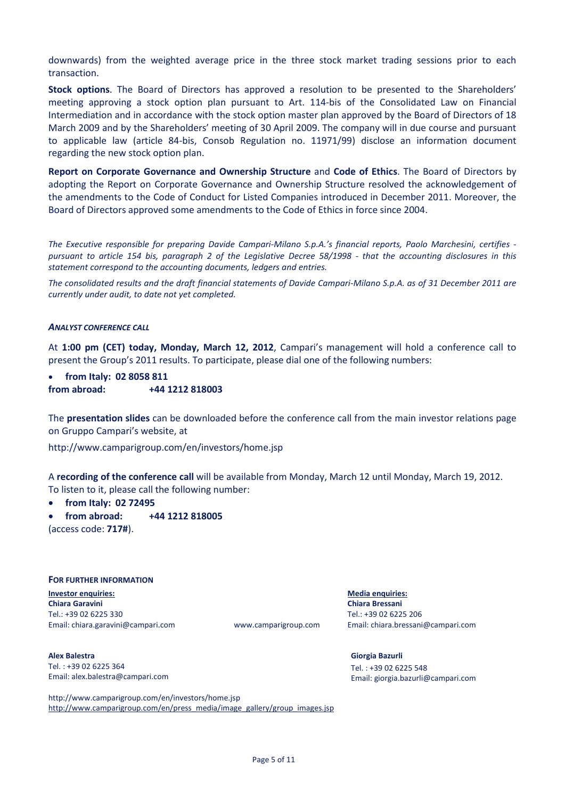downwards) from the weighted average price in the three stock market trading sessions prior to each transaction.

**Stock options**. The Board of Directors has approved a resolution to be presented to the Shareholders' meeting approving a stock option plan pursuant to Art. 114-bis of the Consolidated Law on Financial Intermediation and in accordance with the stock option master plan approved by the Board of Directors of 18 March 2009 and by the Shareholders' meeting of 30 April 2009. The company will in due course and pursuant to applicable law (article 84-bis, Consob Regulation no. 11971/99) disclose an information document regarding the new stock option plan.

**Report on Corporate Governance and Ownership Structure** and **Code of Ethics**. The Board of Directors by adopting the Report on Corporate Governance and Ownership Structure resolved the acknowledgement of the amendments to the Code of Conduct for Listed Companies introduced in December 2011. Moreover, the Board of Directors approved some amendments to the Code of Ethics in force since 2004.

*The Executive responsible for preparing Davide Campari-Milano S.p.A.'s financial reports, Paolo Marchesini, certifies pursuant to article 154 bis, paragraph 2 of the Legislative Decree 58/1998 - that the accounting disclosures in this statement correspond to the accounting documents, ledgers and entries.*

*The consolidated results and the draft financial statements of Davide Campari-Milano S.p.A. as of 31 December 2011 are currently under audit, to date not yet completed.* 

#### *ANALYST CONFERENCE CALL*

At **1:00 pm (CET) today, Monday, March 12, 2012**, Campari's management will hold a conference call to present the Group's 2011 results. To participate, please dial one of the following numbers:

• **from Italy: 02 8058 811 from abroad: +44 1212 818003**

The **presentation slides** can be downloaded before the conference call from the main investor relations page on Gruppo Campari's website, at

http://www.camparigroup.com/en/investors/home.jsp

A **recording of the conference call** will be available from Monday, March 12 until Monday, March 19, 2012. To listen to it, please call the following number:

• **from Italy: 02 72495**

• **from abroad: +44 1212 818005**

(access code: **717#**).

#### **FOR FURTHER INFORMATION**

**Investor enquiries: Media enquiries: Chiara Garavini Chiara Bressani** Tel.: +39 02 6225 330 Tel.: +39 02 6225 206 Email[: chiara.garavini@campari.com](mailto:chiara.garavini@campari.com) www.camparigroup.com Email: [chiara.bressani@campari.com](mailto:chiara.bressani@campari.com)

**Alex Balestra** Tel. : +39 02 6225 364 Email[: alex.balestra@campari.com](mailto:alex.balestra@campari.com)

**Giorgia Bazurli** Tel. : +39 02 6225 548 Email[: giorgia.bazurli@campari.com](mailto:giorgia.bazurli@campari.com)

http://www.camparigroup.com/en/investors/home.jsp [http://www.camparigroup.com/en/press\\_media/image\\_gallery/group\\_images.jsp](http://www.camparigroup.com/en/press_media/image_gallery/group_images.jsp)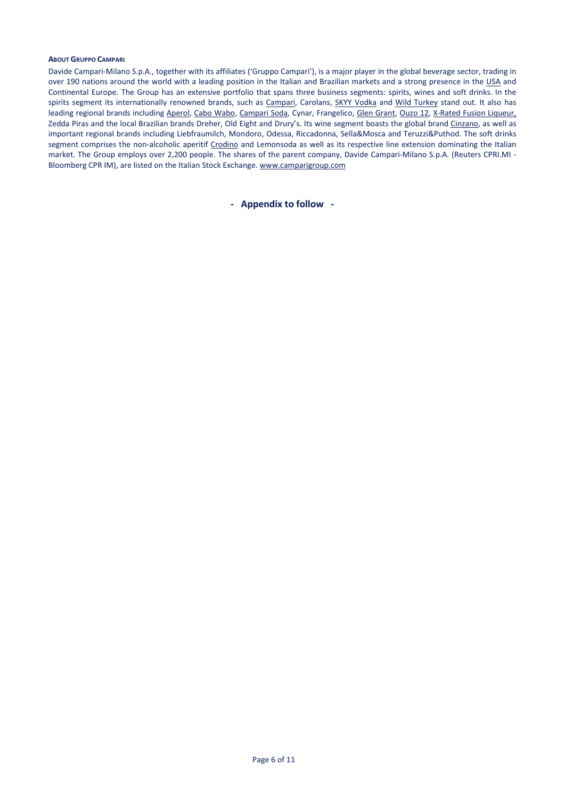#### **ABOUT GRUPPO CAMPARI**

Davide Campari-Milano S.p.A., together with its affiliates ('Gruppo Campari'), is a major player in the global beverage sector, trading in over 190 nations around the world with a leading position in the Italian and Brazilian markets and a strong presence in the USA and Continental Europe. The Group has an extensive portfolio that spans three business segments: spirits, wines and soft drinks. In the spirits segment its internationally renowned brands, such as [Campari,](http://www.campari.com/) Carolans, [SKYY Vodka](http://www.skyy.com/) and Wild Turkey stand out. It also has leading regional brands includin[g Aperol,](http://www.aperol.com/) [Cabo Wabo,](http://www.cabowabo.com/) [Campari Soda,](http://www.camparisoda.it/) Cynar, Frangelico, [Glen Grant,](http://www.glengrant.com/) [Ouzo 12,](http://www.ouzo12.gr/) [X-Rated](http://www.xratedfusion.com/) Fusion Liqueur, Zedda Piras and the local Brazilian brands Dreher, Old Eight and Drury's. Its wine segment boasts the global brand [Cinzano,](http://www.cinzano.com/) as well as important regional brands including Liebfraumilch, Mondoro, Odessa, Riccadonna, Sella&Mosca and Teruzzi&Puthod. The soft drinks segment comprises the non-alcoholic aperitif [Crodino](http://www.crodino.it/) and Lemonsoda as well as its respective line extension dominating the Italian market. The Group employs over 2,200 people. The shares of the parent company, Davide Campari-Milano S.p.A. (Reuters CPRI.MI - Bloomberg CPR IM), are listed on the Italian Stock Exchange. [www.camparigroup.com](http://www.camparigroup.com/)

**- Appendix to follow -**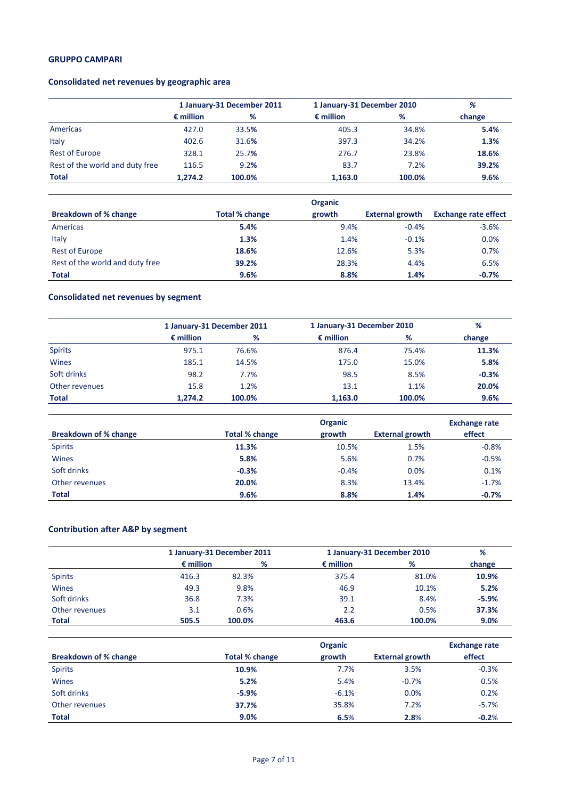# **GRUPPO CAMPARI**

# **Consolidated net revenues by geographic area**

|                                 | 1 January-31 December 2011 |        | 1 January-31 December 2010 | %      |        |
|---------------------------------|----------------------------|--------|----------------------------|--------|--------|
|                                 | $\epsilon$ million         | %      | $\epsilon$ million         | %      | change |
| Americas                        | 427.0                      | 33.5%  | 405.3                      | 34.8%  | 5.4%   |
| Italy                           | 402.6                      | 31.6%  | 397.3                      | 34.2%  | 1.3%   |
| <b>Rest of Europe</b>           | 328.1                      | 25.7%  | 276.7                      | 23.8%  | 18.6%  |
| Rest of the world and duty free | 116.5                      | 9.2%   | 83.7                       | 7.2%   | 39.2%  |
| Total                           | 1.274.2                    | 100.0% | 1,163.0                    | 100.0% | 9.6%   |

|                                 |                       | <b>Organic</b> |                        |                             |
|---------------------------------|-----------------------|----------------|------------------------|-----------------------------|
| Breakdown of % change           | <b>Total % change</b> | growth         | <b>External growth</b> | <b>Exchange rate effect</b> |
| Americas                        | 5.4%                  | 9.4%           | $-0.4%$                | $-3.6%$                     |
| Italy                           | 1.3%                  | 1.4%           | $-0.1%$                | 0.0%                        |
| Rest of Europe                  | 18.6%                 | 12.6%          | 5.3%                   | 0.7%                        |
| Rest of the world and duty free | 39.2%                 | 28.3%          | 4.4%                   | 6.5%                        |
| <b>Total</b>                    | 9.6%                  | 8.8%           | 1.4%                   | $-0.7%$                     |

# **Consolidated net revenues by segment**

|                | 1 January-31 December 2011 |        | 1 January-31 December 2010 | %      |         |
|----------------|----------------------------|--------|----------------------------|--------|---------|
|                | $\epsilon$ million         | %      | $\epsilon$ million         | %      | change  |
| <b>Spirits</b> | 975.1                      | 76.6%  | 876.4                      | 75.4%  | 11.3%   |
| Wines          | 185.1                      | 14.5%  | 175.0                      | 15.0%  | 5.8%    |
| Soft drinks    | 98.2                       | 7.7%   | 98.5                       | 8.5%   | $-0.3%$ |
| Other revenues | 15.8                       | 1.2%   | 13.1                       | 1.1%   | 20.0%   |
| Total          | 1.274.2                    | 100.0% | 1,163.0                    | 100.0% | 9.6%    |

|                       |                | <b>Exchange rate</b> |                        |         |
|-----------------------|----------------|----------------------|------------------------|---------|
| Breakdown of % change | Total % change | growth               | <b>External growth</b> | effect  |
| <b>Spirits</b>        | 11.3%          | 10.5%                | 1.5%                   | $-0.8%$ |
| <b>Wines</b>          | 5.8%           | 5.6%                 | 0.7%                   | $-0.5%$ |
| Soft drinks           | $-0.3%$        | $-0.4%$              | 0.0%                   | 0.1%    |
| Other revenues        | 20.0%          | 8.3%                 | 13.4%                  | $-1.7%$ |
| <b>Total</b>          | 9.6%           | 8.8%                 | 1.4%                   | $-0.7%$ |

# **Contribution after A&P by segment**

|                |                    | 1 January-31 December 2011 |                    | 1 January-31 December 2010 | %       |
|----------------|--------------------|----------------------------|--------------------|----------------------------|---------|
|                | $\epsilon$ million | %                          | $\epsilon$ million | %                          | change  |
| <b>Spirits</b> | 416.3              | 82.3%                      | 375.4              | 81.0%                      | 10.9%   |
| <b>Wines</b>   | 49.3               | 9.8%                       | 46.9               | 10.1%                      | 5.2%    |
| Soft drinks    | 36.8               | 7.3%                       | 39.1               | 8.4%                       | $-5.9%$ |
| Other revenues | 3.1                | 0.6%                       | 2.2                | 0.5%                       | 37.3%   |
| <b>Total</b>   | 505.5              | 100.0%                     | 463.6              | 100.0%                     | 9.0%    |

|                              |                | <b>Exchange rate</b> |                        |         |
|------------------------------|----------------|----------------------|------------------------|---------|
| <b>Breakdown of % change</b> | Total % change | growth               | <b>External growth</b> | effect  |
| <b>Spirits</b>               | 10.9%          | 7.7%                 | 3.5%                   | $-0.3%$ |
| <b>Wines</b>                 | 5.2%           | 5.4%                 | $-0.7%$                | 0.5%    |
| Soft drinks                  | $-5.9%$        | $-6.1%$              | 0.0%                   | 0.2%    |
| Other revenues               | 37.7%          | 35.8%                | 7.2%                   | $-5.7%$ |
| <b>Total</b>                 | 9.0%           | 6.5%                 | 2.8%                   | $-0.2%$ |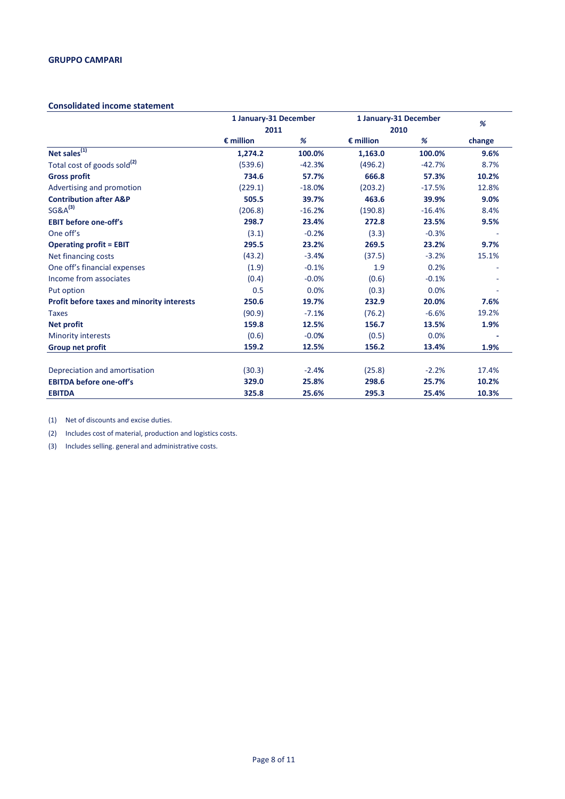#### **Consolidated income statement**

|                                            | 1 January-31 December |          | 1 January-31 December |          | %      |
|--------------------------------------------|-----------------------|----------|-----------------------|----------|--------|
|                                            | 2011                  |          | 2010                  |          |        |
|                                            | $\epsilon$ million    | %        | $\epsilon$ million    | %        | change |
| Net sales $\sqrt[11]{1}$                   | 1,274.2               | 100.0%   | 1,163.0               | 100.0%   | 9.6%   |
| Total cost of goods sold <sup>(2)</sup>    | (539.6)               | $-42.3%$ | (496.2)               | $-42.7%$ | 8.7%   |
| <b>Gross profit</b>                        | 734.6                 | 57.7%    | 666.8                 | 57.3%    | 10.2%  |
| Advertising and promotion                  | (229.1)               | $-18.0%$ | (203.2)               | $-17.5%$ | 12.8%  |
| <b>Contribution after A&amp;P</b>          | 505.5                 | 39.7%    | 463.6                 | 39.9%    | 9.0%   |
| $SG&A^{(3)}$                               | (206.8)               | $-16.2%$ | (190.8)               | $-16.4%$ | 8.4%   |
| <b>EBIT before one-off's</b>               | 298.7                 | 23.4%    | 272.8                 | 23.5%    | 9.5%   |
| One off's                                  | (3.1)                 | $-0.2%$  | (3.3)                 | $-0.3%$  |        |
| <b>Operating profit = EBIT</b>             | 295.5                 | 23.2%    | 269.5                 | 23.2%    | 9.7%   |
| Net financing costs                        | (43.2)                | $-3.4%$  | (37.5)                | $-3.2%$  | 15.1%  |
| One off's financial expenses               | (1.9)                 | $-0.1%$  | 1.9                   | 0.2%     |        |
| Income from associates                     | (0.4)                 | $-0.0%$  | (0.6)                 | $-0.1%$  |        |
| Put option                                 | 0.5                   | 0.0%     | (0.3)                 | 0.0%     |        |
| Profit before taxes and minority interests | 250.6                 | 19.7%    | 232.9                 | 20.0%    | 7.6%   |
| <b>Taxes</b>                               | (90.9)                | $-7.1%$  | (76.2)                | $-6.6%$  | 19.2%  |
| <b>Net profit</b>                          | 159.8                 | 12.5%    | 156.7                 | 13.5%    | 1.9%   |
| <b>Minority interests</b>                  | (0.6)                 | $-0.0%$  | (0.5)                 | 0.0%     |        |
| <b>Group net profit</b>                    | 159.2                 | 12.5%    | 156.2                 | 13.4%    | 1.9%   |
| Depreciation and amortisation              | (30.3)                | $-2.4%$  | (25.8)                | $-2.2%$  | 17.4%  |
| <b>EBITDA before one-off's</b>             | 329.0                 | 25.8%    | 298.6                 | 25.7%    | 10.2%  |
| <b>EBITDA</b>                              | 325.8                 | 25.6%    | 295.3                 | 25.4%    | 10.3%  |

(1) Net of discounts and excise duties.

(2) Includes cost of material, production and logistics costs.

(3) Includes selling. general and administrative costs.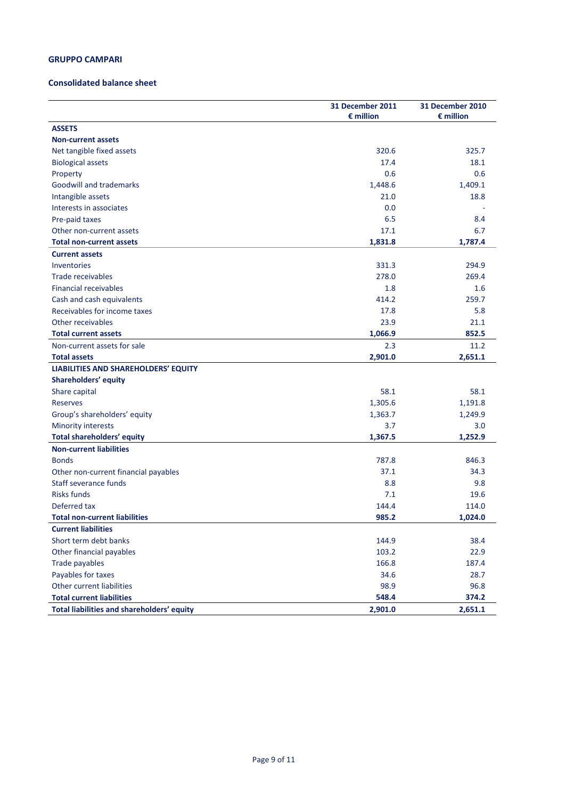## **GRUPPO CAMPARI**

#### **Consolidated balance sheet**

|                                            | <b>31 December 2011</b> | 31 December 2010   |
|--------------------------------------------|-------------------------|--------------------|
| <b>ASSETS</b>                              | $\epsilon$ million      | $\epsilon$ million |
| <b>Non-current assets</b>                  |                         |                    |
| Net tangible fixed assets                  | 320.6                   | 325.7              |
|                                            | 17.4                    | 18.1               |
| <b>Biological assets</b>                   | 0.6                     | 0.6                |
| Property                                   | 1,448.6                 | 1,409.1            |
| <b>Goodwill and trademarks</b>             | 21.0                    | 18.8               |
| Intangible assets                          | 0.0                     |                    |
| Interests in associates                    |                         |                    |
| Pre-paid taxes                             | 6.5                     | 8.4                |
| Other non-current assets                   | 17.1                    | 6.7                |
| <b>Total non-current assets</b>            | 1,831.8                 | 1,787.4            |
| <b>Current assets</b>                      |                         |                    |
| Inventories                                | 331.3                   | 294.9              |
| Trade receivables                          | 278.0                   | 269.4              |
| <b>Financial receivables</b>               | 1.8                     | 1.6                |
| Cash and cash equivalents                  | 414.2                   | 259.7              |
| Receivables for income taxes               | 17.8                    | 5.8                |
| Other receivables                          | 23.9                    | 21.1               |
| <b>Total current assets</b>                | 1,066.9                 | 852.5              |
| Non-current assets for sale                | 2.3                     | 11.2               |
| <b>Total assets</b>                        | 2,901.0                 | 2,651.1            |
| LIABILITIES AND SHAREHOLDERS' EQUITY       |                         |                    |
| Shareholders' equity                       |                         |                    |
| Share capital                              | 58.1                    | 58.1               |
| <b>Reserves</b>                            | 1,305.6                 | 1,191.8            |
| Group's shareholders' equity               | 1,363.7                 | 1,249.9            |
| <b>Minority interests</b>                  | 3.7                     | 3.0                |
| <b>Total shareholders' equity</b>          | 1,367.5                 | 1,252.9            |
| <b>Non-current liabilities</b>             |                         |                    |
| <b>Bonds</b>                               | 787.8                   | 846.3              |
| Other non-current financial payables       | 37.1                    | 34.3               |
| Staff severance funds                      | 8.8                     | 9.8                |
| <b>Risks funds</b>                         | 7.1                     | 19.6               |
| Deferred tax                               | 144.4                   | 114.0              |
| <b>Total non-current liabilities</b>       | 985.2                   | 1,024.0            |
| <b>Current liabilities</b>                 |                         |                    |
| Short term debt banks                      | 144.9                   | 38.4               |
| Other financial payables                   | 103.2                   | 22.9               |
| Trade payables                             | 166.8                   | 187.4              |
| Payables for taxes                         | 34.6                    | 28.7               |
| Other current liabilities                  | 98.9                    | 96.8               |
| <b>Total current liabilities</b>           | 548.4                   | 374.2              |
| Total liabilities and shareholders' equity | 2,901.0                 | 2,651.1            |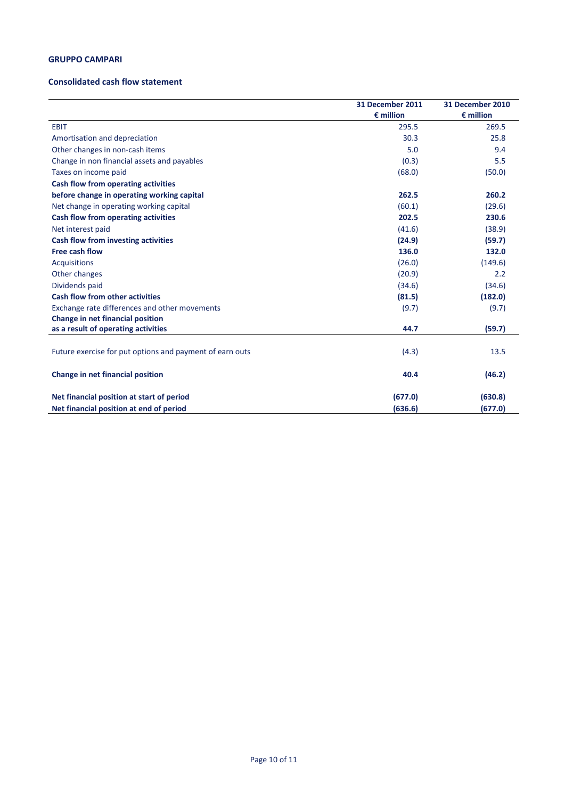## **GRUPPO CAMPARI**

#### **Consolidated cash flow statement**

|                                                          | 31 December 2011   | 31 December 2010   |
|----------------------------------------------------------|--------------------|--------------------|
|                                                          | $\epsilon$ million | $\epsilon$ million |
| <b>EBIT</b>                                              | 295.5              | 269.5              |
| Amortisation and depreciation                            | 30.3               | 25.8               |
| Other changes in non-cash items                          | 5.0                | 9.4                |
| Change in non financial assets and payables              | (0.3)              | 5.5                |
| Taxes on income paid                                     | (68.0)             | (50.0)             |
| Cash flow from operating activities                      |                    |                    |
| before change in operating working capital               | 262.5              | 260.2              |
| Net change in operating working capital                  | (60.1)             | (29.6)             |
| Cash flow from operating activities                      | 202.5              | 230.6              |
| Net interest paid                                        | (41.6)             | (38.9)             |
| Cash flow from investing activities                      | (24.9)             | (59.7)             |
| <b>Free cash flow</b>                                    | 136.0              | 132.0              |
| <b>Acquisitions</b>                                      | (26.0)             | (149.6)            |
| Other changes                                            | (20.9)             | 2.2                |
| Dividends paid                                           | (34.6)             | (34.6)             |
| <b>Cash flow from other activities</b>                   | (81.5)             | (182.0)            |
| Exchange rate differences and other movements            | (9.7)              | (9.7)              |
| Change in net financial position                         |                    |                    |
| as a result of operating activities                      | 44.7               | (59.7)             |
|                                                          |                    |                    |
| Future exercise for put options and payment of earn outs | (4.3)              | 13.5               |
| Change in net financial position                         | 40.4               | (46.2)             |
| Net financial position at start of period                | (677.0)            | (630.8)            |
| Net financial position at end of period                  | (636.6)            | (677.0)            |